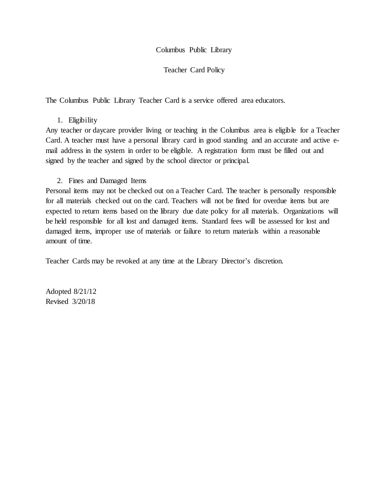#### Columbus Public Library

#### Teacher Card Policy

The Columbus Public Library Teacher Card is a service offered area educators.

## 1. Eligibility

Any teacher or daycare provider living or teaching in the Columbus area is eligible for a Teacher Card. A teacher must have a personal library card in good standing and an accurate and active email address in the system in order to be eligible. A registration form must be filled out and signed by the teacher and signed by the school director or principal.

## 2. Fines and Damaged Items

Personal items may not be checked out on a Teacher Card. The teacher is personally responsible for all materials checked out on the card. Teachers will not be fined for overdue items but are expected to return items based on the library due date policy for all materials. Organizations will be held responsible for all lost and damaged items. Standard fees will be assessed for lost and damaged items, improper use of materials or failure to return materials within a reasonable amount of time.

Teacher Cards may be revoked at any time at the Library Director's discretion.

Adopted 8/21/12 Revised 3/20/18